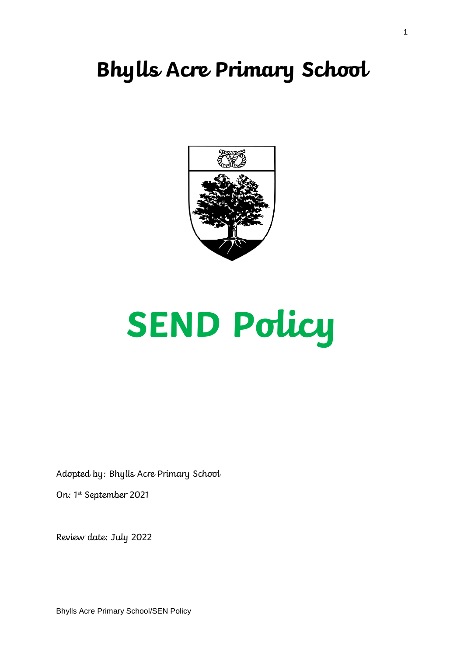# **Bhylls Acre Primary School**



# **SEND Policy**

Adopted by: Bhylls Acre Primary School

On: 1st September 2021

Review date: July 2022

Bhylls Acre Primary School/SEN Policy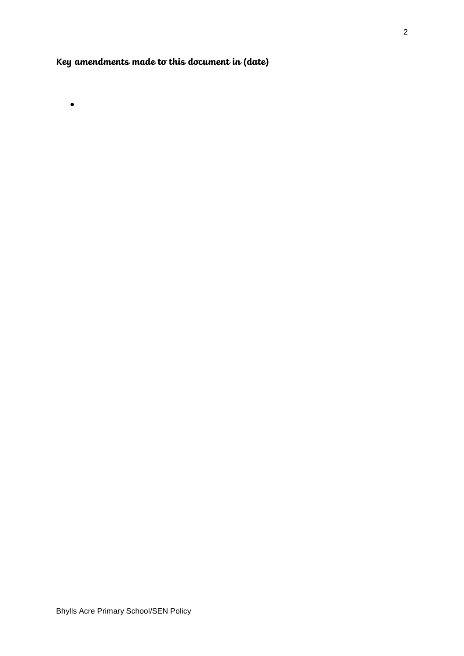# **Key amendments made to this document in (date)**

 $\bullet$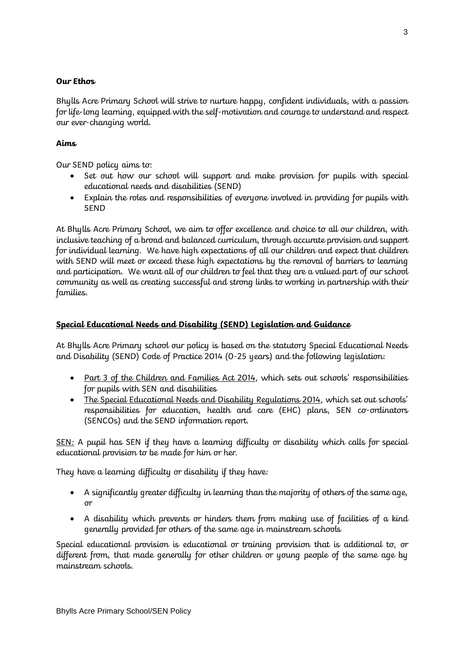# **Our Ethos**

Bhylls Acre Primary School will strive to nurture happy, confident individuals, with a passion for life-long learning, equipped with the self-motivation and courage to understand and respect our ever-changing world.

# **Aims**

Our SEND policy aims to:

- Set out how our school will support and make provision for pupils with special educational needs and disabilities (SEND)
- Explain the roles and responsibilities of everyone involved in providing for pupils with SEND

At Bhylls Acre Primary School, we aim to offer excellence and choice to all our children, with inclusive teaching of a broad and balanced curriculum, through accurate provision and support for individual learning. We have high expectations of all our children and expect that children with SEND will meet or exceed these high expectations by the removal of barriers to learning and participation. We want all of our children to feel that they are a valued part of our school community as well as creating successful and strong links to working in partnership with their families.

# **Special Educational Needs and Disability (SEND) Legislation and Guidance**

At Bhylls Acre Primary school our policy is based on the statutory Special Educational Needs and Disability (SEND) Code of Practice 2014 (0-25 years) and the following legislation:

- Part 3 of the Children and Families Act 2014, which sets out schools' responsibilities for pupils with SEN and disabilities
- The Special Educational Needs and Disability Regulations 2014, which set out schools' responsibilities for education, health and care (EHC) plans, SEN co-ordinators (SENCOs) and the SEND information report.

SEN: A pupil has SEN if they have a learning difficulty or disability which calls for special educational provision to be made for him or her.

They have a learning difficulty or disability if they have:

- A significantly greater difficulty in learning than the majority of others of the same age, or
- A disability which prevents or hinders them from making use of facilities of a kind generally provided for others of the same age in mainstream schools

Special educational provision is educational or training provision that is additional to, or different from, that made generally for other children or young people of the same age by mainstream schools.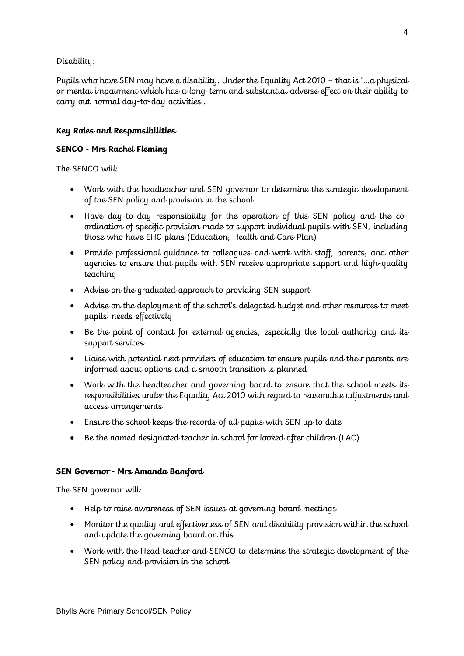# Disability:

Pupils who have SEN may have a disability. Under the Equality Act 2010 – that is '…a physical or mental impairment which has a long-term and substantial adverse effect on their ability to carry out normal day-to-day activities'.

# **Key Roles and Responsibilities**

# **SENCO - Mrs Rachel Fleming**

The SENCO will:

- Work with the headteacher and SEN governor to determine the strategic development of the SEN policy and provision in the school
- Have day-to-day responsibility for the operation of this SEN policy and the coordination of specific provision made to support individual pupils with SEN, including those who have EHC plans (Education, Health and Care Plan)
- Provide professional guidance to colleagues and work with staff, parents, and other agencies to ensure that pupils with SEN receive appropriate support and high-quality teaching
- Advise on the graduated approach to providing SEN support
- Advise on the deployment of the school's delegated budget and other resources to meet pupils' needs effectively
- Be the point of contact for external agencies, especially the local authority and its support services
- Liaise with potential next providers of education to ensure pupils and their parents are informed about options and a smooth transition is planned
- Work with the headteacher and governing board to ensure that the school meets its responsibilities under the Equality Act 2010 with regard to reasonable adjustments and access arrangements
- Ensure the school keeps the records of all pupils with SEN up to date
- Be the named designated teacher in school for looked after children (LAC)

# **SEN Governor - Mrs Amanda Bamford**

The SEN governor will:

- Help to raise awareness of SEN issues at governing board meetings
- Monitor the quality and effectiveness of SEN and disability provision within the school and update the governing board on this
- Work with the Head teacher and SENCO to determine the strategic development of the SEN policy and provision in the school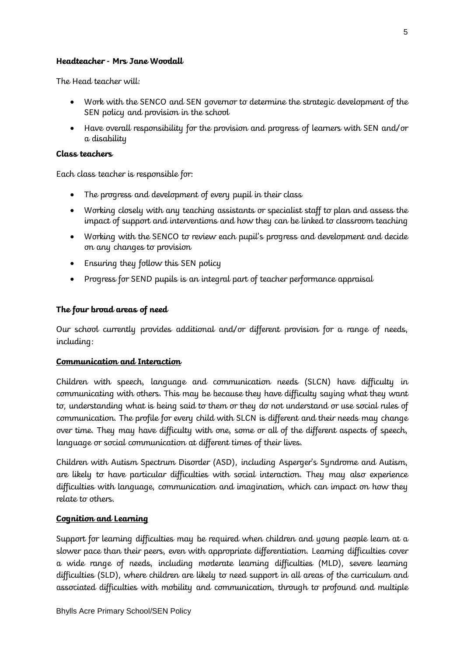# **Headteacher - Mrs Jane Woodall**

The Head teacher will:

- Work with the SENCO and SEN governor to determine the strategic development of the SEN policy and provision in the school
- Have overall responsibility for the provision and progress of learners with SEN and/or a disability

#### **Class teachers**

Each class teacher is responsible for:

- The progress and development of every pupil in their class
- Working closely with any teaching assistants or specialist staff to plan and assess the impact of support and interventions and how they can be linked to classroom teaching
- Working with the SENCO to review each pupil's progress and development and decide on any changes to provision
- Ensuring they follow this SEN policy
- Progress for SEND pupils is an integral part of teacher performance appraisal

# **The four broad areas of need**

Our school currently provides additional and/or different provision for a range of needs, including:

# **Communication and Interaction**

Children with speech, language and communication needs (SLCN) have difficulty in communicating with others. This may be because they have difficulty saying what they want to, understanding what is being said to them or they do not understand or use social rules of communication. The profile for every child with SLCN is different and their needs may change over time. They may have difficulty with one, some or all of the different aspects of speech, language or social communication at different times of their lives.

Children with Autism Spectrum Disorder (ASD), including Asperger's Syndrome and Autism, are likely to have particular difficulties with social interaction. They may also experience difficulties with language, communication and imagination, which can impact on how they relate to others.

# **Cognition and Learning**

Support for learning difficulties may be required when children and young people learn at a slower pace than their peers, even with appropriate differentiation. Learning difficulties cover a wide range of needs, including moderate learning difficulties (MLD), severe learning difficulties (SLD), where children are likely to need support in all areas of the curriculum and associated difficulties with mobility and communication, through to profound and multiple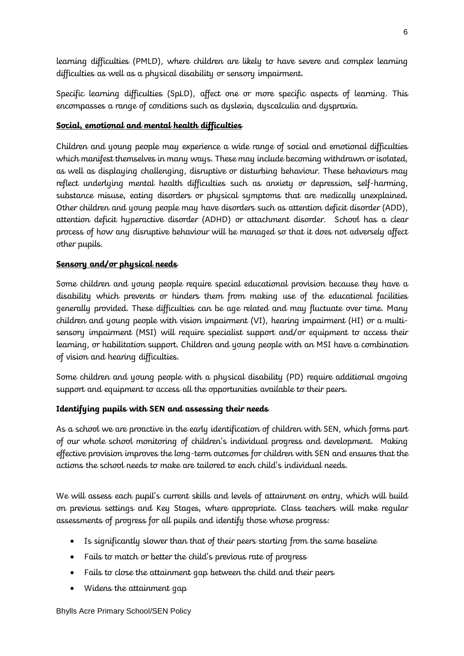learning difficulties (PMLD), where children are likely to have severe and complex learning difficulties as well as a physical disability or sensory impairment.

Specific learning difficulties (SpLD), affect one or more specific aspects of learning. This encompasses a range of conditions such as dyslexia, dyscalculia and dyspraxia.

# **Social, emotional and mental health difficulties**

Children and young people may experience a wide range of social and emotional difficulties which manifest themselves in many ways. These may include becoming withdrawn or isolated, as well as displaying challenging, disruptive or disturbing behaviour. These behaviours may reflect underlying mental health difficulties such as anxiety or depression, self-harming, substance misuse, eating disorders or physical symptoms that are medically unexplained. Other children and young people may have disorders such as attention deficit disorder (ADD), attention deficit hyperactive disorder (ADHD) or attachment disorder. School has a clear process of how any disruptive behaviour will be managed so that it does not adversely affect other pupils.

# **Sensory and/or physical needs**

Some children and young people require special educational provision because they have a disability which prevents or hinders them from making use of the educational facilities generally provided. These difficulties can be age related and may fluctuate over time. Many children and young people with vision impairment (VI), hearing impairment (HI) or a multisensory impairment (MSI) will require specialist support and/or equipment to access their learning, or habilitation support. Children and young people with an MSI have a combination of vision and hearing difficulties.

Some children and young people with a physical disability (PD) require additional ongoing support and equipment to access all the opportunities available to their peers.

# **Identifying pupils with SEN and assessing their needs**

As a school we are proactive in the early identification of children with SEN, which forms part of our whole school monitoring of children's individual progress and development. Making effective provision improves the long-term outcomes for children with SEN and ensures that the actions the school needs to make are tailored to each child's individual needs.

We will assess each pupil's current skills and levels of attainment on entry, which will build on previous settings and Key Stages, where appropriate. Class teachers will make regular assessments of progress for all pupils and identify those whose progress:

- Is significantly slower than that of their peers starting from the same baseline
- Fails to match or better the child's previous rate of progress
- Fails to close the attainment gap between the child and their peers
- Widens the attainment gap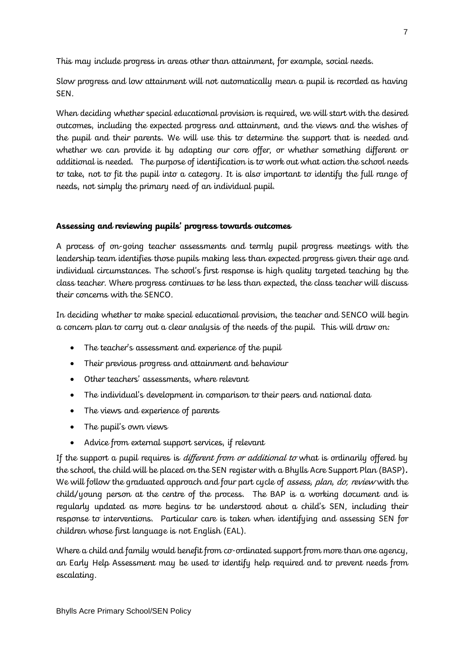This may include progress in areas other than attainment, for example, social needs.

Slow progress and low attainment will not automatically mean a pupil is recorded as having SEN.

When deciding whether special educational provision is required, we will start with the desired outcomes, including the expected progress and attainment, and the views and the wishes of the pupil and their parents. We will use this to determine the support that is needed and whether we can provide it by adapting our core offer, or whether something different or additional is needed. The purpose of identification is to work out what action the school needs to take, not to fit the pupil into a category. It is also important to identify the full range of needs, not simply the primary need of an individual pupil.

# **Assessing and reviewing pupils' progress towards outcomes**

A process of on-going teacher assessments and termly pupil progress meetings with the leadership team identifies those pupils making less than expected progress given their age and individual circumstances. The school's first response is high quality targeted teaching by the class teacher. Where progress continues to be less than expected, the class teacher will discuss their concerns with the SENCO.

In deciding whether to make special educational provision, the teacher and SENCO will begin a concern plan to carry out a clear analysis of the needs of the pupil. This will draw on:

- The teacher's assessment and experience of the pupil
- Their previous progress and attainment and behaviour
- Other teachers' assessments, where relevant
- The individual's development in comparison to their peers and national data
- The views and experience of parents
- The pupil's own views
- Advice from external support services, if relevant

If the support a pupil requires is *different from or additional to* what is ordinarily offered by the school, the child will be placed on the SEN register with a Bhylls Acre Support Plan (BASP)**.**  We will follow the graduated approach and four part cycle of assess, plan, do, review with the child/young person at the centre of the process. The BAP is a working document and is regularly updated as more begins to be understood about a child's SEN, including their response to interventions. Particular care is taken when identifying and assessing SEN for children whose first language is not English (EAL).

Where a child and family would benefit from co-ordinated support from more than one agency, an Early Help Assessment may be used to identify help required and to prevent needs from escalating.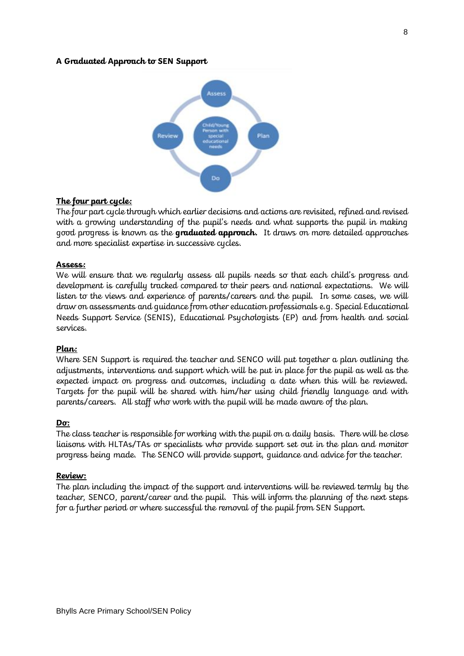#### **A Graduated Approach to SEN Support**



#### **The four part cycle:**

The four part cycle through which earlier decisions and actions are revisited, refined and revised with a growing understanding of the pupil's needs and what supports the pupil in making good progress is known as the **graduated approach.** It draws on more detailed approaches and more specialist expertise in successive cycles.

#### **Assess:**

We will ensure that we regularly assess all pupils needs so that each child's progress and development is carefully tracked compared to their peers and national expectations. We will listen to the views and experience of parents/careers and the pupil. In some cases, we will draw on assessments and guidance from other education professionals e.g. Special Educational Needs Support Service (SENIS), Educational Psychologists (EP) and from health and social services.

#### **Plan:**

Where SEN Support is required the teacher and SENCO will put together a plan outlining the adjustments, interventions and support which will be put in place for the pupil as well as the expected impact on progress and outcomes, including a date when this will be reviewed. Targets for the pupil will be shared with him/her using child friendly language and with parents/careers. All staff who work with the pupil will be made aware of the plan.

#### **Do:**

The class teacher is responsible for working with the pupil on a daily basis. There will be close liaisons with HLTAs/TAs or specialists who provide support set out in the plan and monitor progress being made. The SENCO will provide support, guidance and advice for the teacher.

#### **Review:**

The plan including the impact of the support and interventions will be reviewed termly by the teacher, SENCO, parent/career and the pupil. This will inform the planning of the next steps for a further period or where successful the removal of the pupil from SEN Support.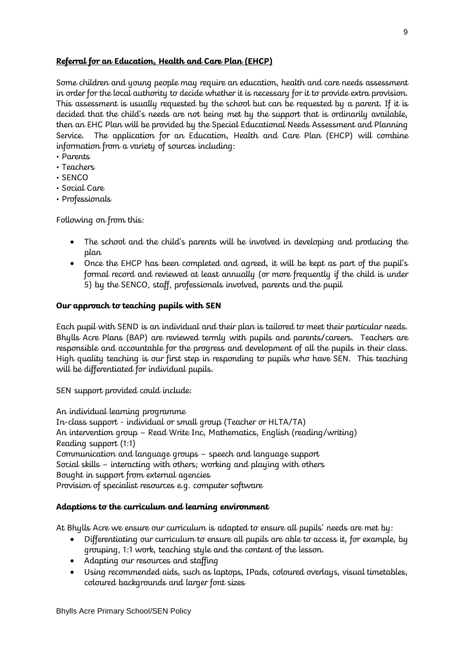# **Referral for an Education, Health and Care Plan (EHCP)**

Some children and young people may require an education, health and care needs assessment in order for the local authority to decide whether it is necessary for it to provide extra provision. This assessment is usually requested by the school but can be requested by a parent. If it is decided that the child's needs are not being met by the support that is ordinarily available, then an EHC Plan will be provided by the Special Educational Needs Assessment and Planning Service. The application for an Education, Health and Care Plan (EHCP) will combine information from a variety of sources including:

- Parents
- Teachers
- SENCO
- Social Care
- Professionals

Following on from this:

- The school and the child's parents will be involved in developing and producing the plan
- Once the EHCP has been completed and agreed, it will be kept as part of the pupil's formal record and reviewed at least annually (or more frequently if the child is under 5) by the SENCO, staff, professionals involved, parents and the pupil

# **Our approach to teaching pupils with SEN**

Each pupil with SEND is an individual and their plan is tailored to meet their particular needs. Bhylls Acre Plans (BAP) are reviewed termly with pupils and parents/careers. Teachers are responsible and accountable for the progress and development of all the pupils in their class. High quality teaching is our first step in responding to pupils who have SEN. This teaching will be differentiated for individual pupils.

SEN support provided could include:

An individual learning programme In-class support - individual or small group (Teacher or HLTA/TA) An intervention group – Read Write Inc, Mathematics, English (reading/writing) Reading support (1:1) Communication and language groups – speech and language support Social skills – interacting with others; working and playing with others Bought in support from external agencies Provision of specialist resources e.g. computer software

# **Adaptions to the curriculum and learning environment**

At Bhylls Acre we ensure our curriculum is adapted to ensure all pupils' needs are met by:

- Differentiating our curriculum to ensure all pupils are able to access it, for example, by grouping, 1:1 work, teaching style and the content of the lesson.
- Adapting our resources and staffing
- Using recommended aids, such as laptops, IPads, coloured overlays, visual timetables, coloured backgrounds and larger font sizes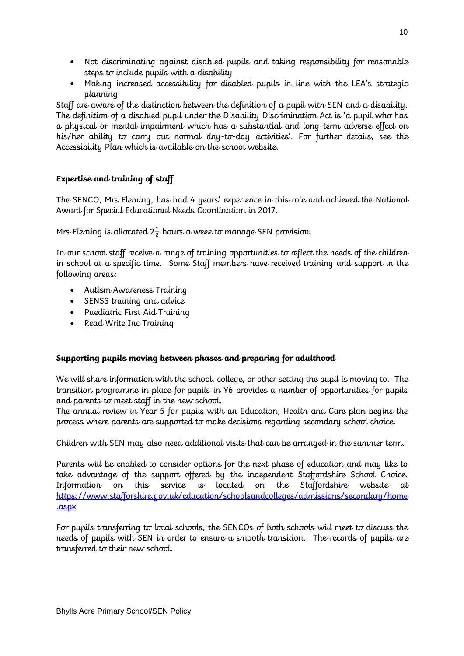- Not discriminating against disabled pupils and taking responsibility for reasonable steps to include pupils with a disability
- Making increased accessibility for disabled pupils in line with the LEA's strategic planning

Staff are aware of the distinction between the definition of a pupil with SEN and a disability. The definition of a disabled pupil under the Disability Discrimination Act is 'a pupil who has a physical or mental impairment which has a substantial and long-term adverse effect on his/her ability to carry out normal day-to-day activities'. For further details, see the Accessibility Plan which is available on the school website.

# **Expertise and training of staff**

The SENCO, Mrs Fleming, has had 4 years' experience in this role and achieved the National Award for Special Educational Needs Coordination in 2017.

Mrs Fleming is allocated  $2\frac{1}{2}$  hours a week to manage SEN provision.

In our school staff receive a range of training opportunities to reflect the needs of the children in school at a specific time. Some Staff members have received training and support in the following areas:

- Autism Awareness Training
- SENSS training and advice
- Paediatric First Aid Training
- Read Write Inc Training

# **Supporting pupils moving between phases and preparing for adulthood**

We will share information with the school, college, or other setting the pupil is moving to. The transition programme in place for pupils in Y6 provides a number of opportunities for pupils and parents to meet staff in the new school.

The annual review in Year 5 for pupils with an Education, Health and Care plan begins the process where parents are supported to make decisions regarding secondary school choice.

Children with SEN may also need additional visits that can be arranged in the summer term.

Parents will be enabled to consider options for the next phase of education and may like to take advantage of the support offered by the independent Staffordshire School Choice. Information on this service is located on the Staffordshire website [https://www.stafforshire.gov.uk/education/schoolsandcolleges/admissions/secondary/home](https://www.stafforshire.gov.uk/education/schoolsandcolleges/admissions/secondary/home.aspx) [.aspx](https://www.stafforshire.gov.uk/education/schoolsandcolleges/admissions/secondary/home.aspx)

For pupils transferring to local schools, the SENCOs of both schools will meet to discuss the needs of pupils with SEN in order to ensure a smooth transition. The records of pupils are transferred to their new school.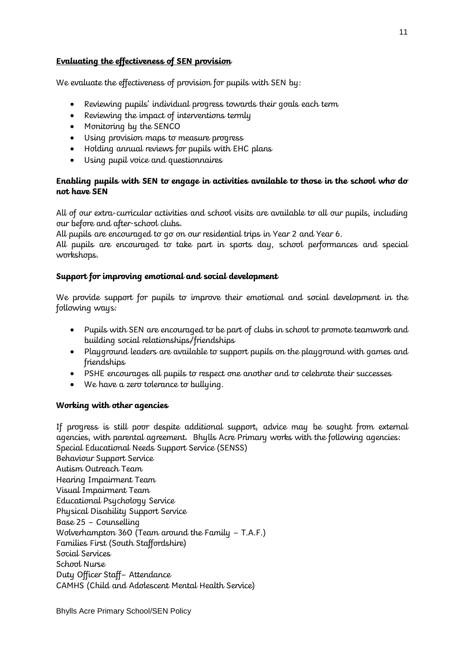# **Evaluating the effectiveness of SEN provision**

We evaluate the effectiveness of provision for pupils with SEN by:

- Reviewing pupils' individual progress towards their goals each term
- Reviewing the impact of interventions termly
- Monitoring by the SENCO
- Using provision maps to measure progress
- Holding annual reviews for pupils with EHC plans
- Using pupil voice and questionnaires

# **Enabling pupils with SEN to engage in activities available to those in the school who do not have SEN**

All of our extra-curricular activities and school visits are available to all our pupils, including our before and after-school clubs.

All pupils are encouraged to go on our residential trips in Year 2 and Year 6.

All pupils are encouraged to take part in sports day, school performances and special workshops.

# **Support for improving emotional and social development**

We provide support for pupils to improve their emotional and social development in the following ways:

- Pupils with SEN are encouraged to be part of clubs in school to promote teamwork and building social relationships/friendships
- Playground leaders are available to support pupils on the playground with games and friendships
- PSHE encourages all pupils to respect one another and to celebrate their successes
- We have a zero tolerance to bullying.

# **Working with other agencies**

If progress is still poor despite additional support, advice may be sought from external agencies, with parental agreement. Bhylls Acre Primary works with the following agencies: Special Educational Needs Support Service (SENSS) Behaviour Support Service Autism Outreach Team Hearing Impairment Team Visual Impairment Team Educational Psychology Service Physical Disability Support Service Base 25 – Counselling Wolverhampton 360 (Team around the Family – T.A.F.) Families First (South Staffordshire) Social Services School Nurse Duty Officer Staff– Attendance CAMHS (Child and Adolescent Mental Health Service)

11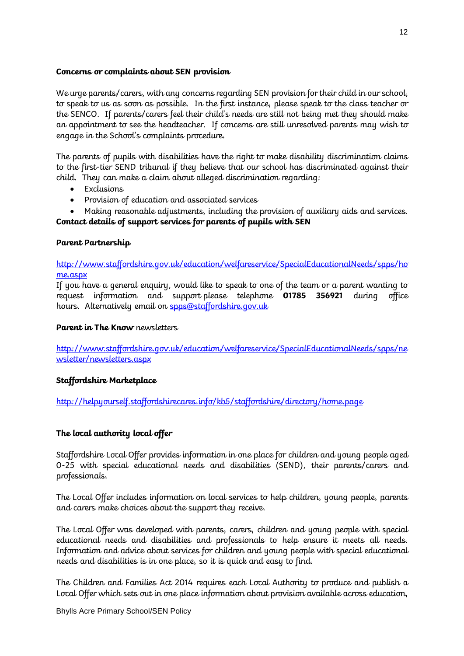#### **Concerns or complaints about SEN provision**

We urge parents/carers, with any concerns regarding SEN provision for their child in our school, to speak to us as soon as possible. In the first instance, please speak to the class teacher or the SENCO. If parents/carers feel their child's needs are still not being met they should make an appointment to see the headteacher. If concerns are still unresolved parents may wish to engage in the School's complaints procedure.

The parents of pupils with disabilities have the right to make disability discrimination claims to the first-tier SEND tribunal if they believe that our school has discriminated against their child. They can make a claim about alleged discrimination regarding:

- Exclusions
- Provision of education and associated services
- Making reasonable adjustments, including the provision of auxiliary aids and services. **Contact details of support services for parents of pupils with SEN**

# **Parent Partnership**

[http://www.staffordshire.gov.uk/education/welfareservice/SpecialEducationalNeeds/spps/ho](http://www.staffordshire.gov.uk/education/welfareservice/SpecialEducationalNeeds/spps/home.aspx) [me.aspx](http://www.staffordshire.gov.uk/education/welfareservice/SpecialEducationalNeeds/spps/home.aspx)

If you have a general enquiry, would like to speak to one of the team or a parent wanting to request information and support please telephone **01785 356921** during office hours. Alternatively email on [spps@staffordshire.gov.uk](mailto:spps@staffordshire.gov.uk)

# **Parent in The Know** newsletters

[http://www.staffordshire.gov.uk/education/welfareservice/SpecialEducationalNeeds/spps/ne](http://www.staffordshire.gov.uk/education/welfareservice/SpecialEducationalNeeds/spps/newsletter/newsletters.aspx) [wsletter/newsletters.aspx](http://www.staffordshire.gov.uk/education/welfareservice/SpecialEducationalNeeds/spps/newsletter/newsletters.aspx) 

# **Staffordshire Marketplace**

<http://helpyourself.staffordshirecares.info/kb5/staffordshire/directory/home.page>

# **The local authority local offer**

Staffordshire [Local Offer](https://www.staffordshireconnects.info/kb5/staffordshire/directory/home.page) provides information in one place for children and young people aged 0-25 with special educational needs and disabilities (SEND), their parents/carers and professionals.

The Local Offer includes information on local services to help children, young people, parents and carers make choices about the support they receive.

The Local Offer was developed with parents, carers, children and young people with special educational needs and disabilities and professionals to help ensure it meets all needs. Information and advice about services for children and young people with special educational needs and disabilities is in one place, so it is quick and easy to find.

The Children and Families Act 2014 requires each Local Authority to produce and publish a Local Offer which sets out in one place information about provision available across education,

Bhylls Acre Primary School/SEN Policy